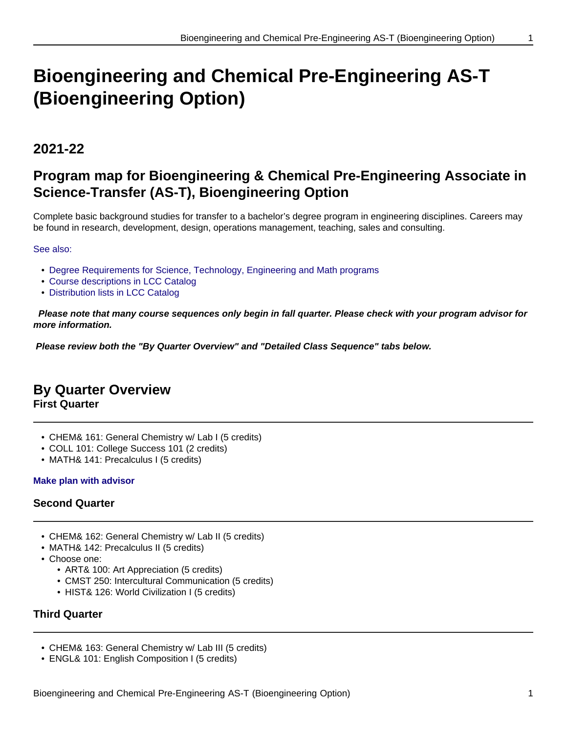# **Bioengineering and Chemical Pre-Engineering AS-T (Bioengineering Option)**

## **2021-22**

# **Program map for Bioengineering & Chemical Pre-Engineering Associate in Science-Transfer (AS-T), Bioengineering Option**

Complete basic background studies for transfer to a bachelor's degree program in engineering disciplines. Careers may be found in research, development, design, operations management, teaching, sales and consulting.

#### See also:

- Degree Requirements for Science, Technology, Engineering and Math programs
- Course descriptions in LCC Catalog
- Distribution lists in LCC Catalog

 **Please note that many course sequences only begin in fall quarter. Please check with your program advisor for more information.**

**Please review both the "By Quarter Overview" and "Detailed Class Sequence" tabs below.**

### **By Quarter Overview**

**First Quarter**

- CHEM& 161: General Chemistry w/ Lab I (5 credits)
- COLL 101: College Success 101 (2 credits)
- MATH& 141: Precalculus I (5 credits)

#### **Make plan with advisor**

#### **Second Quarter**

- CHEM& 162: General Chemistry w/ Lab II (5 credits)
- MATH& 142: Precalculus II (5 credits)
- Choose one:
	- ART& 100: Art Appreciation (5 credits)
	- CMST 250: Intercultural Communication (5 credits)
	- HIST& 126: World Civilization I (5 credits)

#### **Third Quarter**

- CHEM& 163: General Chemistry w/ Lab III (5 credits)
- ENGL& 101: English Composition I (5 credits)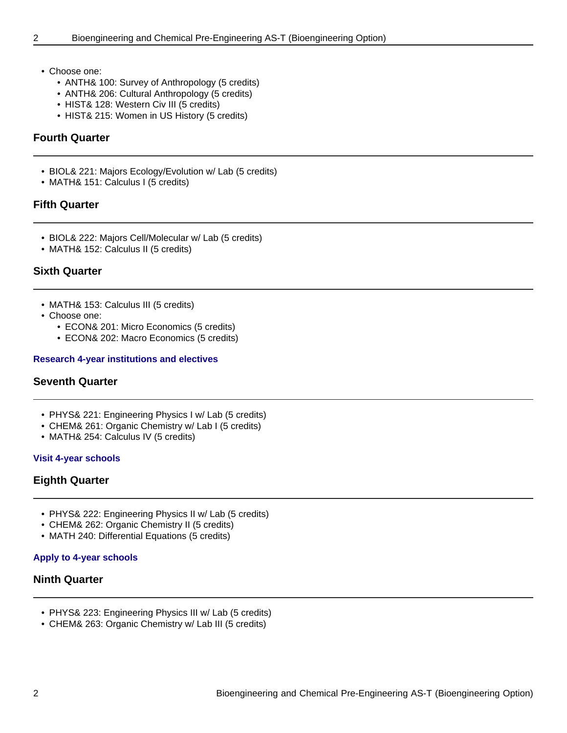- Choose one:
	- ANTH& 100: Survey of Anthropology (5 credits)
	- ANTH& 206: Cultural Anthropology (5 credits)
	- HIST& 128: Western Civ III (5 credits)
	- HIST& 215: Women in US History (5 credits)

#### **Fourth Quarter**

- BIOL& 221: Majors Ecology/Evolution w/ Lab (5 credits)
- MATH& 151: Calculus I (5 credits)

#### **Fifth Quarter**

- BIOL& 222: Majors Cell/Molecular w/ Lab (5 credits)
- MATH& 152: Calculus II (5 credits)

#### **Sixth Quarter**

- MATH& 153: Calculus III (5 credits)
- Choose one:
	- ECON& 201: Micro Economics (5 credits)
	- ECON& 202: Macro Economics (5 credits)

#### **Research 4-year institutions and electives**

#### **Seventh Quarter**

- PHYS& 221: Engineering Physics I w/ Lab (5 credits)
- CHEM& 261: Organic Chemistry w/ Lab I (5 credits)
- MATH& 254: Calculus IV (5 credits)

#### **Visit 4-year schools**

#### **Eighth Quarter**

- PHYS& 222: Engineering Physics II w/ Lab (5 credits)
- CHEM& 262: Organic Chemistry II (5 credits)
- MATH 240: Differential Equations (5 credits)

#### **Apply to 4-year schools**

#### **Ninth Quarter**

- PHYS& 223: Engineering Physics III w/ Lab (5 credits)
- CHEM& 263: Organic Chemistry w/ Lab III (5 credits)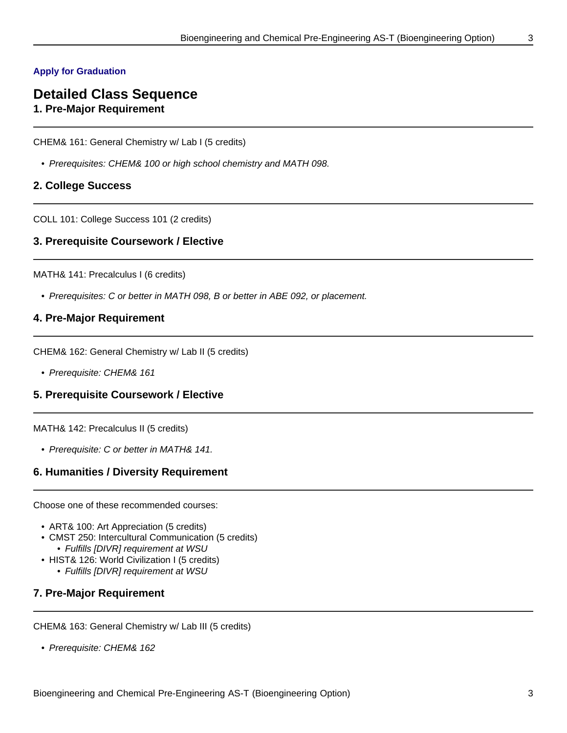#### **Apply for Graduation**

### **Detailed Class Sequence 1. Pre-Major Requirement**

CHEM& 161: General Chemistry w/ Lab I (5 credits)

• Prerequisites: CHEM& 100 or high school chemistry and MATH 098.

#### **2. College Success**

COLL 101: College Success 101 (2 credits)

#### **3. Prerequisite Coursework / Elective**

MATH& 141: Precalculus I (6 credits)

• Prerequisites: C or better in MATH 098, B or better in ABE 092, or placement.

#### **4. Pre-Major Requirement**

CHEM& 162: General Chemistry w/ Lab II (5 credits)

• Prerequisite: CHEM& 161

#### **5. Prerequisite Coursework / Elective**

MATH& 142: Precalculus II (5 credits)

• Prerequisite: C or better in MATH& 141.

#### **6. Humanities / Diversity Requirement**

Choose one of these recommended courses:

- ART& 100: Art Appreciation (5 credits)
- CMST 250: Intercultural Communication (5 credits) • Fulfills [DIVR] requirement at WSU
- HIST& 126: World Civilization I (5 credits)
	- Fulfills [DIVR] requirement at WSU

#### **7. Pre-Major Requirement**

CHEM& 163: General Chemistry w/ Lab III (5 credits)

• Prerequisite: CHEM& 162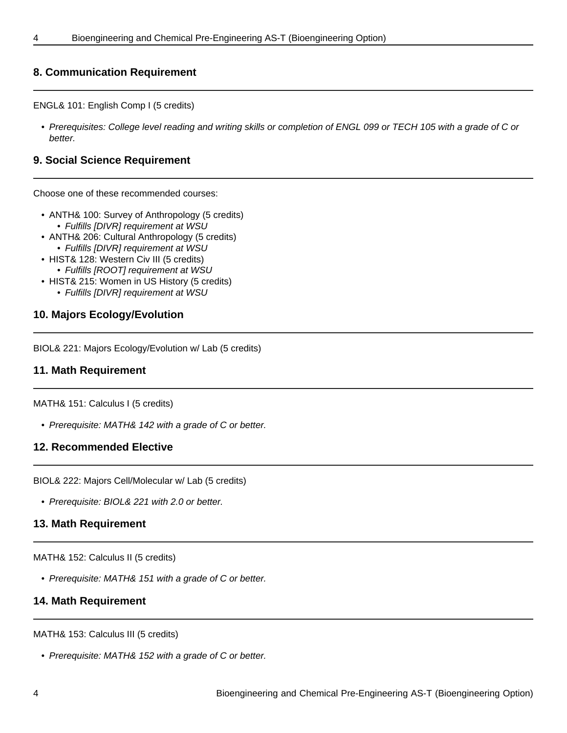#### **8. Communication Requirement**

ENGL& 101: English Comp I (5 credits)

• Prerequisites: College level reading and writing skills or completion of ENGL 099 or TECH 105 with a grade of C or better.

#### **9. Social Science Requirement**

Choose one of these recommended courses:

- ANTH& 100: Survey of Anthropology (5 credits) • Fulfills [DIVR] requirement at WSU
- ANTH& 206: Cultural Anthropology (5 credits)
	- Fulfills [DIVR] requirement at WSU
- HIST& 128: Western Civ III (5 credits)
- Fulfills [ROOT] requirement at WSU
- HIST& 215: Women in US History (5 credits)
	- Fulfills [DIVR] requirement at WSU

#### **10. Majors Ecology/Evolution**

BIOL& 221: Majors Ecology/Evolution w/ Lab (5 credits)

#### **11. Math Requirement**

MATH& 151: Calculus I (5 credits)

• Prerequisite: MATH& 142 with a grade of C or better.

#### **12. Recommended Elective**

BIOL& 222: Majors Cell/Molecular w/ Lab (5 credits)

• Prerequisite: BIOL& 221 with 2.0 or better.

#### **13. Math Requirement**

MATH& 152: Calculus II (5 credits)

• Prerequisite: MATH& 151 with a grade of C or better.

#### **14. Math Requirement**

MATH& 153: Calculus III (5 credits)

• Prerequisite: MATH& 152 with a grade of C or better.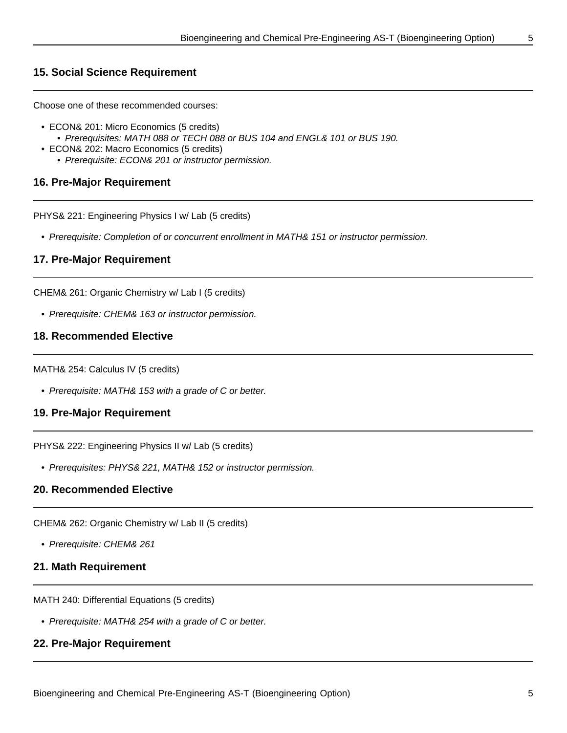#### **15. Social Science Requirement**

Choose one of these recommended courses:

- ECON& 201: Micro Economics (5 credits) • Prerequisites: MATH 088 or TECH 088 or BUS 104 and ENGL& 101 or BUS 190.
- ECON& 202: Macro Economics (5 credits)
	- Prerequisite: ECON& 201 or instructor permission.

#### **16. Pre-Major Requirement**

PHYS& 221: Engineering Physics I w/ Lab (5 credits)

• Prerequisite: Completion of or concurrent enrollment in MATH& 151 or instructor permission.

#### **17. Pre-Major Requirement**

CHEM& 261: Organic Chemistry w/ Lab I (5 credits)

• Prerequisite: CHEM& 163 or instructor permission.

#### **18. Recommended Elective**

MATH& 254: Calculus IV (5 credits)

• Prerequisite: MATH& 153 with a grade of C or better.

#### **19. Pre-Major Requirement**

PHYS& 222: Engineering Physics II w/ Lab (5 credits)

• Prerequisites: PHYS& 221, MATH& 152 or instructor permission.

#### **20. Recommended Elective**

CHEM& 262: Organic Chemistry w/ Lab II (5 credits)

• Prerequisite: CHEM& 261

#### **21. Math Requirement**

MATH 240: Differential Equations (5 credits)

• Prerequisite: MATH& 254 with a grade of C or better.

#### **22. Pre-Major Requirement**